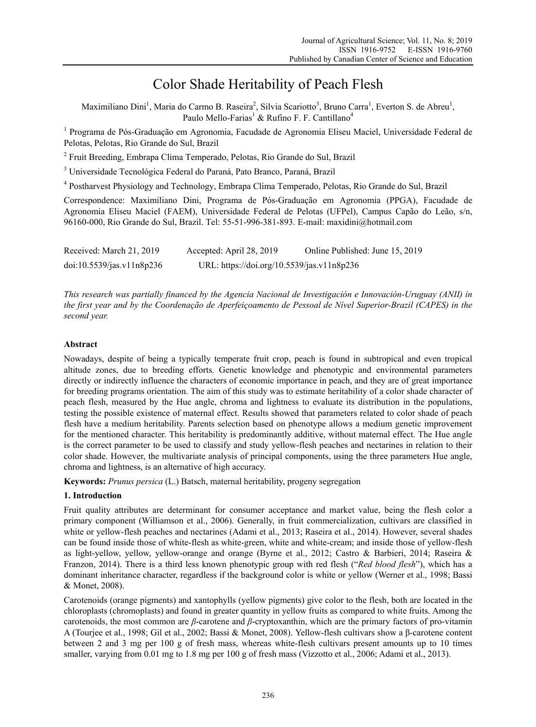# Color Shade Heritability of Peach Flesh

Maximiliano Dini<sup>1</sup>, Maria do Carmo B. Raseira<sup>2</sup>, Silvia Scariotto<sup>3</sup>, Bruno Carra<sup>1</sup>, Everton S. de Abreu<sup>1</sup>, Paulo Mello-Farias<sup>1</sup> & Rufino F. F. Cantillano<sup>4</sup>

<sup>1</sup> Programa de Pós-Graduação em Agronomia, Facudade de Agronomia Eliseu Maciel, Universidade Federal de Pelotas, Pelotas, Rio Grande do Sul, Brazil

<sup>2</sup> Fruit Breeding, Embrapa Clima Temperado, Pelotas, Rio Grande do Sul, Brazil

<sup>3</sup> Universidade Tecnológica Federal do Paraná, Pato Branco, Paraná, Brazil

<sup>4</sup> Postharvest Physiology and Technology, Embrapa Clima Temperado, Pelotas, Rio Grande do Sul, Brazil

Correspondence: Maximiliano Dini, Programa de Pós-Graduação em Agronomia (PPGA), Facudade de Agronomia Eliseu Maciel (FAEM), Universidade Federal de Pelotas (UFPel), Campus Capão do Leão, s/n, 96160-000, Rio Grande do Sul, Brazil. Tel: 55-51-996-381-893. E-mail: maxidini@hotmail.com

| Received: March 21, 2019  | Accepted: April 28, 2019                   | Online Published: June 15, 2019 |
|---------------------------|--------------------------------------------|---------------------------------|
| doi:10.5539/jas.v11n8p236 | URL: https://doi.org/10.5539/jas.v11n8p236 |                                 |

*This research was partially financed by the Agencia Nacional de Investigación e Innovación-Uruguay (ANII) in the first year and by the Coordenação de Aperfeiçoamento de Pessoal de Nível Superior-Brazil (CAPES) in the second year.* 

# **Abstract**

Nowadays, despite of being a typically temperate fruit crop, peach is found in subtropical and even tropical altitude zones, due to breeding efforts. Genetic knowledge and phenotypic and environmental parameters directly or indirectly influence the characters of economic importance in peach, and they are of great importance for breeding programs orientation. The aim of this study was to estimate heritability of a color shade character of peach flesh, measured by the Hue angle, chroma and lightness to evaluate its distribution in the populations, testing the possible existence of maternal effect. Results showed that parameters related to color shade of peach flesh have a medium heritability. Parents selection based on phenotype allows a medium genetic improvement for the mentioned character. This heritability is predominantly additive, without maternal effect. The Hue angle is the correct parameter to be used to classify and study yellow-flesh peaches and nectarines in relation to their color shade. However, the multivariate analysis of principal components, using the three parameters Hue angle, chroma and lightness, is an alternative of high accuracy.

**Keywords:** *Prunus persica* (L.) Batsch, maternal heritability, progeny segregation

# **1. Introduction**

Fruit quality attributes are determinant for consumer acceptance and market value, being the flesh color a primary component (Williamson et al., 2006). Generally, in fruit commercialization, cultivars are classified in white or yellow-flesh peaches and nectarines (Adami et al., 2013; Raseira et al., 2014). However, several shades can be found inside those of white-flesh as white-green, white and white-cream; and inside those of yellow-flesh as light-yellow, yellow, yellow-orange and orange (Byrne et al., 2012; Castro & Barbieri, 2014; Raseira & Franzon, 2014). There is a third less known phenotypic group with red flesh ("*Red blood flesh*"), which has a dominant inheritance character, regardless if the background color is white or yellow (Werner et al., 1998; Bassi & Monet, 2008).

Carotenoids (orange pigments) and xantophylls (yellow pigments) give color to the flesh, both are located in the chloroplasts (chromoplasts) and found in greater quantity in yellow fruits as compared to white fruits. Among the carotenoids, the most common are *β*-carotene and *β*-cryptoxanthin, which are the primary factors of pro-vitamin A (Tourjee et al., 1998; Gil et al., 2002; Bassi & Monet, 2008). Yellow-flesh cultivars show a β-carotene content between 2 and 3 mg per 100 g of fresh mass, whereas white-flesh cultivars present amounts up to 10 times smaller, varying from 0.01 mg to 1.8 mg per 100 g of fresh mass (Vizzotto et al., 2006; Adami et al., 2013).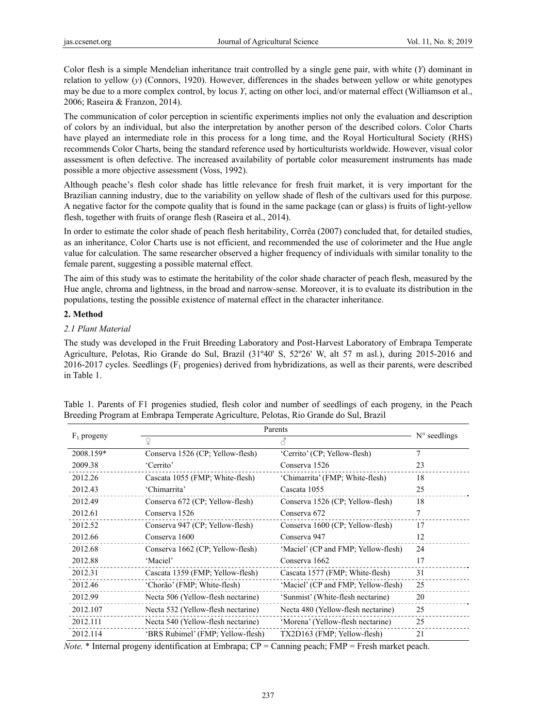Color flesh is a simple Mendelian inheritance trait controlled by a single gene pair, with white (*Y*) dominant in relation to yellow (*y*) (Connors, 1920). However, differences in the shades between yellow or white genotypes may be due to a more complex control, by locus *Y*, acting on other loci, and/or maternal effect (Williamson et al., 2006; Raseira & Franzon, 2014).

The communication of color perception in scientific experiments implies not only the evaluation and description of colors by an individual, but also the interpretation by another person of the described colors. Color Charts have played an intermediate role in this process for a long time, and the Royal Horticultural Society (RHS) recommends Color Charts, being the standard reference used by horticulturists worldwide. However, visual color assessment is often defective. The increased availability of portable color measurement instruments has made possible a more objective assessment (Voss, 1992).

Although peache's flesh color shade has little relevance for fresh fruit market, it is very important for the Brazilian canning industry, due to the variability on yellow shade of flesh of the cultivars used for this purpose. A negative factor for the compote quality that is found in the same package (can or glass) is fruits of light-yellow flesh, together with fruits of orange flesh (Raseira et al., 2014).

In order to estimate the color shade of peach flesh heritability, Corrêa (2007) concluded that, for detailed studies, as an inheritance, Color Charts use is not efficient, and recommended the use of colorimeter and the Hue angle value for calculation. The same researcher observed a higher frequency of individuals with similar tonality to the female parent, suggesting a possible maternal effect.

The aim of this study was to estimate the heritability of the color shade character of peach flesh, measured by the Hue angle, chroma and lightness, in the broad and narrow-sense. Moreover, it is to evaluate its distribution in the populations, testing the possible existence of maternal effect in the character inheritance.

# **2. Method**

# *2.1 Plant Material*

The study was developed in the Fruit Breeding Laboratory and Post-Harvest Laboratory of Embrapa Temperate Agriculture, Pelotas, Rio Grande do Sul, Brazil (31º40' S, 52º26' W, alt 57 m asl.), during 2015-2016 and 2016-2017 cycles. Seedlings  $(F_1$  progenies) derived from hybridizations, as well as their parents, were described in Table 1.

| $F_1$ progeny | Parents                            | $N^{\circ}$ seedlings               |    |
|---------------|------------------------------------|-------------------------------------|----|
|               |                                    | 8                                   |    |
| 2008.159*     | Conserva 1526 (CP; Yellow-flesh)   | 'Cerrito' (CP; Yellow-flesh)        | 7  |
| 2009.38       | 'Cerrito'                          | Conserva 1526                       | 23 |
| 2012.26       | Cascata 1055 (FMP; White-flesh)    | 'Chimarrita' (FMP: White-flesh)     | 18 |
| 2012.43       | 'Chimarrita'                       | Cascata 1055                        | 25 |
| 2012.49       | Conserva 672 (CP; Yellow-flesh)    | Conserva 1526 (CP; Yellow-flesh)    | 18 |
| 2012.61       | Conserva 1526                      | Conserva 672                        | 7  |
| 2012.52       | Conserva 947 (CP; Yellow-flesh)    | Conserva 1600 (CP; Yellow-flesh)    | 17 |
| 2012.66       | Conserva 1600                      | Conserva 947                        | 12 |
| 2012.68       | Conserva 1662 (CP; Yellow-flesh)   | 'Maciel' (CP and FMP; Yellow-flesh) | 24 |
| 2012.88       | 'Maciel'                           | Conserva 1662                       | 17 |
| 2012.31       | Cascata 1359 (FMP; Yellow-flesh)   | Cascata 1577 (FMP; White-flesh)     | 31 |
| 2012.46       | 'Chorão' (FMP; White-flesh)        | 'Maciel' (CP and FMP; Yellow-flesh) | 25 |
| 2012.99       | Necta 506 (Yellow-flesh nectarine) | 'Sunmist' (White-flesh nectarine)   | 20 |
| 2012.107      | Necta 532 (Yellow-flesh nectarine) | Necta 480 (Yellow-flesh nectarine)  | 25 |
| 2012.111      | Necta 540 (Yellow-flesh nectarine) | 'Morena' (Yellow-flesh nectarine)   | 25 |
| 2012.114      | 'BRS Rubimel' (FMP; Yellow-flesh)  | TX2D163 (FMP; Yellow-flesh)         | 21 |

Table 1. Parents of F1 progenies studied, flesh color and number of seedlings of each progeny, in the Peach Breeding Program at Embrapa Temperate Agriculture, Pelotas, Rio Grande do Sul, Brazil

*Note.* \* Internal progeny identification at Embrapa; CP = Canning peach; FMP = Fresh market peach.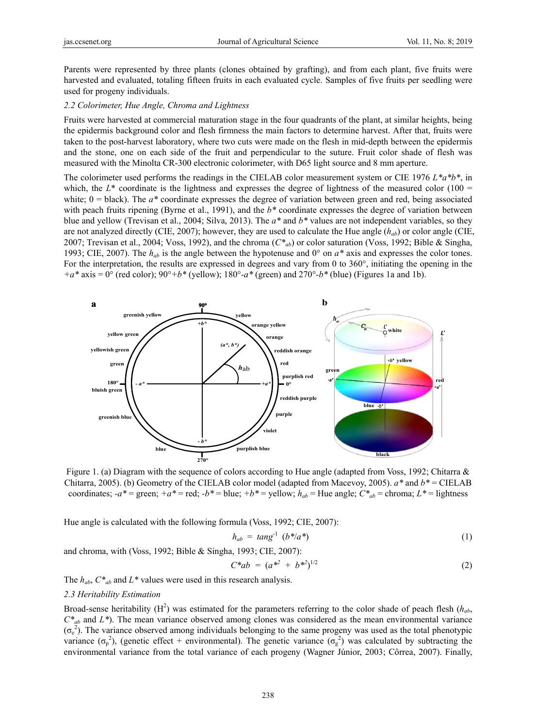Parents were represented by three plants (clones obtained by grafting), and from each plant, five fruits were harvested and evaluated, totaling fifteen fruits in each evaluated cycle. Samples of five fruits per seedling were used for progeny individuals.

### *2.2 Colorimeter, Hue Angle, Chroma and Lightness*

Fruits were harvested at commercial maturation stage in the four quadrants of the plant, at similar heights, being the epidermis background color and flesh firmness the main factors to determine harvest. After that, fruits were taken to the post-harvest laboratory, where two cuts were made on the flesh in mid-depth between the epidermis and the stone, one on each side of the fruit and perpendicular to the suture. Fruit color shade of flesh was measured with the Minolta CR-300 electronic colorimeter, with D65 light source and 8 mm aperture.

The colorimeter used performs the readings in the CIELAB color measurement system or CIE 1976 *L\*a\*b\**, in which, the  $L^*$  coordinate is the lightness and expresses the degree of lightness of the measured color (100 = white;  $0 =$  black). The  $a^*$  coordinate expresses the degree of variation between green and red, being associated with peach fruits ripening (Byrne et al., 1991), and the  $b^*$  coordinate expresses the degree of variation between blue and yellow (Trevisan et al., 2004; Silva, 2013). The *a\** and *b\** values are not independent variables, so they are not analyzed directly (CIE, 2007); however, they are used to calculate the Hue angle (*hab*) or color angle (CIE, 2007; Trevisan et al., 2004; Voss, 1992), and the chroma (*C\*ab*) or color saturation (Voss, 1992; Bible & Singha, 1993; CIE, 2007). The  $h_{ab}$  is the angle between the hypotenuse and  $0^{\circ}$  on  $a^*$  axis and expresses the color tones. For the interpretation, the results are expressed in degrees and vary from 0 to 360°, initiating the opening in the *+a\** axis = 0° (red color); 90°*+b\** (yellow); 180°*-a\** (green) and 270°*-b\** (blue) (Figures 1a and 1b).



Figure 1. (a) Diagram with the sequence of colors according to Hue angle (adapted from Voss, 1992; Chitarra & Chitarra, 2005). (b) Geometry of the CIELAB color model (adapted from Macevoy, 2005). *a\** and *b\** = CIELAB coordinates;  $-a^*$  = green;  $+a^*$  = red;  $-b^*$  = blue;  $+b^*$  = yellow;  $h_{ab}$  = Hue angle;  $C^*_{ab}$  = chroma;  $L^*$  = lightness

Hue angle is calculated with the following formula (Voss, 1992; CIE, 2007):

$$
h_{ab} = \tan g^{-1} \left( b^* / a^* \right) \tag{1}
$$

and chroma, with (Voss, 1992; Bible & Singha, 1993; CIE, 2007):

$$
C^*ab = (a^{*2} + b^{*2})^{1/2} \tag{2}
$$

The *hab*, *C\*ab* and *L\** values were used in this research analysis.

### *2.3 Heritability Estimation*

Broad-sense heritability  $(H^2)$  was estimated for the parameters referring to the color shade of peach flesh  $(h_{ab}, h_{ab})$  $C^*_{ab}$  and  $L^*$ ). The mean variance observed among clones was considered as the mean environmental variance  $(\sigma_e^2)$ . The variance observed among individuals belonging to the same progeny was used as the total phenotypic variance  $(\sigma_p^2)$ , (genetic effect + environmental). The genetic variance  $(\sigma_g^2)$  was calculated by subtracting the environmental variance from the total variance of each progeny (Wagner Júnior, 2003; Côrrea, 2007). Finally,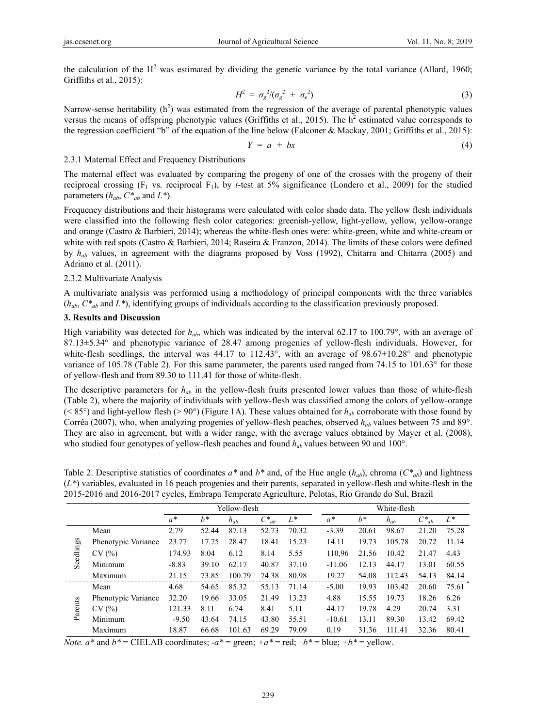the calculation of the  $H^2$  was estimated by dividing the genetic variance by the total variance (Allard, 1960; Griffiths et al., 2015):

$$
H^2 = \sigma_g^2 / (\sigma_g^2 + \sigma_e^2) \tag{3}
$$

Narrow-sense heritability  $(h^2)$  was estimated from the regression of the average of parental phenotypic values versus the means of offspring phenotypic values (Griffiths et al., 2015). The  $h^2$  estimated value corresponds to the regression coefficient "b" of the equation of the line below (Falconer & Mackay, 2001; Griffiths et al., 2015):

$$
Y = a + bx \tag{4}
$$

## 2.3.1 Maternal Effect and Frequency Distributions

The maternal effect was evaluated by comparing the progeny of one of the crosses with the progeny of their reciprocal crossing  $(F_1$  vs. reciprocal  $F_1$ ), by *t*-test at 5% significance (Londero et al., 2009) for the studied parameters  $(h_{ab}, C^*_{ab} \text{ and } L^*).$ 

Frequency distributions and their histograms were calculated with color shade data. The yellow flesh individuals were classified into the following flesh color categories: greenish-yellow, light-yellow, yellow, yellow-orange and orange (Castro & Barbieri, 2014); whereas the white-flesh ones were: white-green, white and white-cream or white with red spots (Castro & Barbieri, 2014; Raseira & Franzon, 2014). The limits of these colors were defined by *hab* values, in agreement with the diagrams proposed by Voss (1992), Chitarra and Chitarra (2005) and Adriano et al. (2011).

## 2.3.2 Multivariate Analysis

A multivariate analysis was performed using a methodology of principal components with the three variables (*hab*, *C\*ab* and *L\**), identifying groups of individuals according to the classification previously proposed.

## **3. Results and Discussion**

High variability was detected for  $h_{ab}$ , which was indicated by the interval 62.17 to 100.79°, with an average of 87.13±5.34° and phenotypic variance of 28.47 among progenies of yellow-flesh individuals. However, for white-flesh seedlings, the interval was 44.17 to 112.43°, with an average of 98.67±10.28° and phenotypic variance of 105.78 (Table 2). For this same parameter, the parents used ranged from 74.15 to 101.63° for those of yellow-flesh and from 89.30 to 111.41 for those of white-flesh.

The descriptive parameters for *hab* in the yellow-flesh fruits presented lower values than those of white-flesh (Table 2), where the majority of individuals with yellow-flesh was classified among the colors of yellow-orange ( $\leq$  85°) and light-yellow flesh ( $>$  90°) (Figure 1A). These values obtained for  $h_{ab}$  corroborate with those found by Corrêa (2007), who, when analyzing progenies of yellow-flesh peaches, observed *hab* values between 75 and 89°. They are also in agreement, but with a wider range, with the average values obtained by Mayer et al. (2008), who studied four genotypes of yellow-flesh peaches and found  $h_{ab}$  values between 90 and 100°.

Table 2. Descriptive statistics of coordinates  $a^*$  and  $b^*$  and, of the Hue angle  $(h_{ab})$ , chroma  $(C^*_{ab})$  and lightness (*L\**) variables, evaluated in 16 peach progenies and their parents, separated in yellow-flesh and white-flesh in the 2015-2016 and 2016-2017 cycles, Embrapa Temperate Agriculture, Pelotas, Rio Grande do Sul, Brazil

|           |                     | Yellow-flesh |       |          |            | White-flesh |          |       |          |            |       |
|-----------|---------------------|--------------|-------|----------|------------|-------------|----------|-------|----------|------------|-------|
|           |                     | $a^*$        | $h^*$ | $h_{ab}$ | $C^*_{ab}$ | $L^*$       | $a^*$    | $h^*$ | $h_{ab}$ | $C^*_{ab}$ | $L^*$ |
|           | Mean                | 2.79         | 52.44 | 87.13    | 52.73      | 70.32       | $-3.39$  | 20.61 | 98.67    | 21.20      | 75.28 |
|           | Phenotypic Variance | 23.77        | 17.75 | 28.47    | 18.41      | 15.23       | 14.11    | 19.73 | 105.78   | 20.72      | 11.14 |
| Seedlings | CV(%)               | 174.93       | 8.04  | 6.12     | 8.14       | 5.55        | 110,96   | 21,56 | 10.42    | 21.47      | 4.43  |
|           | Minimum             | $-8.83$      | 39.10 | 62.17    | 40.87      | 37.10       | $-11.06$ | 12.13 | 44.17    | 13.01      | 60.55 |
|           | Maximum             | 21.15        | 73.85 | 100.79   | 74.38      | 80.98       | 19.27    | 54.08 | 112.43   | 54.13      | 84.14 |
|           | Mean                | 4.68         | 54.65 | 85.32    | 55.13      | 71.14       | $-5.00$  | 19.93 | 103.42   | 20.60      | 75.61 |
|           | Phenotypic Variance | 32.20        | 19.66 | 33.05    | 21.49      | 13.23       | 4.88     | 15.55 | 19.73    | 18.26      | 6.26  |
| Parents   | CV(%)               | 121.33       | 8.11  | 6.74     | 8.41       | 5.11        | 44.17    | 19.78 | 4.29     | 20.74      | 3.31  |
|           | Minimum             | $-9.50$      | 43.64 | 74.15    | 43.80      | 55.51       | $-10.61$ | 13.11 | 89.30    | 13.42      | 69.42 |
|           | Maximum             | 18.87        | 66.68 | 101.63   | 69.29      | 79.09       | 0.19     | 31.36 | 111.41   | 32.36      | 80.41 |

*Note.*  $a^*$  and  $b^*$  = CIELAB coordinates;  $-a^*$  = green;  $+a^*$  = red;  $-b^*$  = blue;  $+b^*$  = yellow.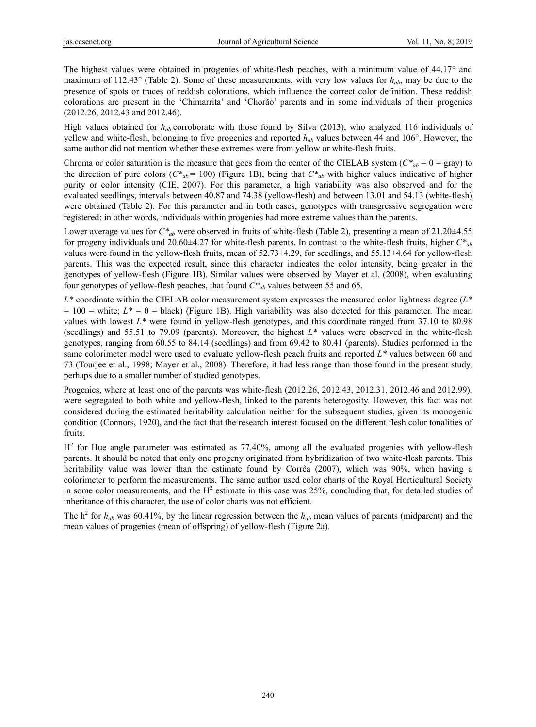The highest values were obtained in progenies of white-flesh peaches, with a minimum value of 44.17° and maximum of 112.43 $\textdegree$  (Table 2). Some of these measurements, with very low values for  $h_{ab}$ , may be due to the presence of spots or traces of reddish colorations, which influence the correct color definition. These reddish colorations are present in the 'Chimarrita' and 'Chorão' parents and in some individuals of their progenies (2012.26, 2012.43 and 2012.46).

High values obtained for *hab* corroborate with those found by Silva (2013), who analyzed 116 individuals of yellow and white-flesh, belonging to five progenies and reported *hab* values between 44 and 106°. However, the same author did not mention whether these extremes were from yellow or white-flesh fruits.

Chroma or color saturation is the measure that goes from the center of the CIELAB system ( $C^*_{ab} = 0 = \text{gray}$ ) to the direction of pure colors ( $C^*_{ab}$  = 100) (Figure 1B), being that  $C^*_{ab}$  with higher values indicative of higher purity or color intensity (CIE, 2007). For this parameter, a high variability was also observed and for the evaluated seedlings, intervals between 40.87 and 74.38 (yellow-flesh) and between 13.01 and 54.13 (white-flesh) were obtained (Table 2). For this parameter and in both cases, genotypes with transgressive segregation were registered; in other words, individuals within progenies had more extreme values than the parents.

Lower average values for  $C^*_{ab}$  were observed in fruits of white-flesh (Table 2), presenting a mean of 21.20 $\pm$ 4.55 for progeny individuals and 20.60±4.27 for white-flesh parents. In contrast to the white-flesh fruits, higher *C\*ab*  values were found in the yellow-flesh fruits, mean of 52.73±4.29, for seedlings, and 55.13±4.64 for yellow-flesh parents. This was the expected result, since this character indicates the color intensity, being greater in the genotypes of yellow-flesh (Figure 1B). Similar values were observed by Mayer et al. (2008), when evaluating four genotypes of yellow-flesh peaches, that found *C\*ab* values between 55 and 65.

*L\** coordinate within the CIELAB color measurement system expresses the measured color lightness degree (*L\**   $= 100$  = white;  $L^* = 0$  = black) (Figure 1B). High variability was also detected for this parameter. The mean values with lowest *L\** were found in yellow-flesh genotypes, and this coordinate ranged from 37.10 to 80.98 (seedlings) and 55.51 to 79.09 (parents). Moreover, the highest *L\** values were observed in the white-flesh genotypes, ranging from 60.55 to 84.14 (seedlings) and from 69.42 to 80.41 (parents). Studies performed in the same colorimeter model were used to evaluate yellow-flesh peach fruits and reported *L\** values between 60 and 73 (Tourjee et al., 1998; Mayer et al., 2008). Therefore, it had less range than those found in the present study, perhaps due to a smaller number of studied genotypes.

Progenies, where at least one of the parents was white-flesh (2012.26, 2012.43, 2012.31, 2012.46 and 2012.99), were segregated to both white and yellow-flesh, linked to the parents heterogosity. However, this fact was not considered during the estimated heritability calculation neither for the subsequent studies, given its monogenic condition (Connors, 1920), and the fact that the research interest focused on the different flesh color tonalities of fruits.

 $H<sup>2</sup>$  for Hue angle parameter was estimated as 77.40%, among all the evaluated progenies with yellow-flesh parents. It should be noted that only one progeny originated from hybridization of two white-flesh parents. This heritability value was lower than the estimate found by Corrêa (2007), which was 90%, when having a colorimeter to perform the measurements. The same author used color charts of the Royal Horticultural Society in some color measurements, and the  $H^2$  estimate in this case was 25%, concluding that, for detailed studies of inheritance of this character, the use of color charts was not efficient.

The  $h^2$  for  $h_{ab}$  was 60.41%, by the linear regression between the  $h_{ab}$  mean values of parents (midparent) and the mean values of progenies (mean of offspring) of yellow-flesh (Figure 2a).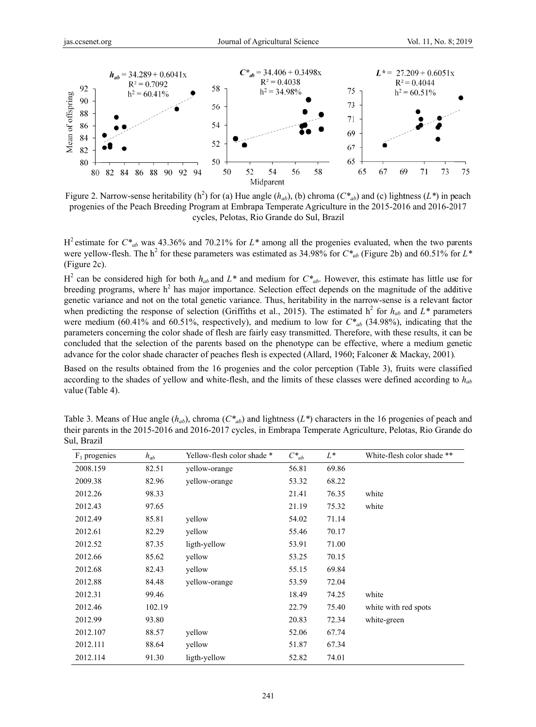

Figure 2. Narrow-sense heritability (h<sup>2</sup>) for (a) Hue angle ( $h_{ab}$ ), (b) chroma ( $C^*_{ab}$ ) and (c) lightness ( $L^*$ ) in peach progenies of the Peach Breeding Program at Embrapa Temperate Agriculture in the 2015-2016 and 2016-2017 cycles, Pelotas, Rio Grande do Sul, Brazil

| s.ccsenet.org              |                             | Journal of Agricultural Science                                                                                                                                                                                                              |                                                        |          |                            | Vol. 11, No. 8; 2019 |    |
|----------------------------|-----------------------------|----------------------------------------------------------------------------------------------------------------------------------------------------------------------------------------------------------------------------------------------|--------------------------------------------------------|----------|----------------------------|----------------------|----|
|                            |                             |                                                                                                                                                                                                                                              |                                                        |          |                            |                      |    |
|                            | $h_{ab} = 34.289 + 0.6041x$ |                                                                                                                                                                                                                                              | $C^*_{ab}$ = 34.406 + 0.3498x                          |          | $L^*$ = 27.209 + 0.6051x   |                      |    |
| 92                         | $R^2 = 0.7092$              |                                                                                                                                                                                                                                              | $R^2 = 0.4038$                                         |          | $R^2 = 0.4044$             |                      |    |
| 90                         | $h^2 = 60.41\%$             | 58                                                                                                                                                                                                                                           | $h^2 = 34.98\%$                                        | 75       |                            | $h^2$ = 60.51%       |    |
| kneen or orrshmg<br>$88\,$ |                             | 56                                                                                                                                                                                                                                           |                                                        | 73       |                            |                      |    |
| 86                         |                             | 54                                                                                                                                                                                                                                           |                                                        | 71       |                            |                      |    |
| 84                         |                             |                                                                                                                                                                                                                                              |                                                        | 69       |                            |                      |    |
| 82                         |                             | 52                                                                                                                                                                                                                                           |                                                        | 67       |                            |                      |    |
| $80\,$                     |                             | 50                                                                                                                                                                                                                                           |                                                        | 65       |                            |                      |    |
| 80<br>82<br>84             | 86 88<br>90                 | 52<br>54<br>50<br>92 94<br>Midparent                                                                                                                                                                                                         | 56                                                     | 58<br>65 | 67<br>69                   | 71<br>73             | 75 |
|                            |                             | igure 2. Narrow-sense heritability (h <sup>2</sup> ) for (a) Hue angle ( $h_{ab}$ ), (b) chroma ( $C^*_{ab}$ ) and (c) lightness (L <sup>*</sup> ) in peach                                                                                  |                                                        |          |                            |                      |    |
|                            |                             | progenies of the Peach Breeding Program at Embrapa Temperate Agriculture in the 2015-2016 and 2016-2017<br>cycles, Pelotas, Rio Grande do Sul, Brazil                                                                                        |                                                        |          |                            |                      |    |
|                            |                             |                                                                                                                                                                                                                                              |                                                        |          |                            |                      |    |
|                            |                             | <sup>2</sup> estimate for $C^*_{ab}$ was 43.36% and 70.21% for L <sup>*</sup> among all the progenies evaluated, when the two parents                                                                                                        |                                                        |          |                            |                      |    |
| igure 2c).                 |                             | ere yellow-flesh. The h <sup>2</sup> for these parameters was estimated as 34.98% for $C^*_{ab}$ (Figure 2b) and 60.51% for $L^*$                                                                                                            |                                                        |          |                            |                      |    |
|                            |                             | <sup>2</sup> can be considered high for both $h_{ab}$ and $L^*$ and medium for $C^*_{ab}$ . However, this estimate has little use for                                                                                                        |                                                        |          |                            |                      |    |
|                            |                             | reeding programs, where $h2$ has major importance. Selection effect depends on the magnitude of the additive                                                                                                                                 |                                                        |          |                            |                      |    |
|                            |                             | enetic variance and not on the total genetic variance. Thus, heritability in the narrow-sense is a relevant factor                                                                                                                           |                                                        |          |                            |                      |    |
|                            |                             | hen predicting the response of selection (Griffiths et al., 2015). The estimated $h^2$ for $h_{ab}$ and $L^*$ parameters                                                                                                                     |                                                        |          |                            |                      |    |
|                            |                             | ere medium (60.41% and 60.51%, respectively), and medium to low for $C^*_{ab}$ (34.98%), indicating that the                                                                                                                                 |                                                        |          |                            |                      |    |
|                            |                             | arameters concerning the color shade of flesh are fairly easy transmitted. Therefore, with these results, it can be                                                                                                                          |                                                        |          |                            |                      |    |
|                            |                             | oncluded that the selection of the parents based on the phenotype can be effective, where a medium genetic<br>divance for the color shade character of peaches flesh is expected (Allard, 1960; Falconer & Mackay, 2001).                    |                                                        |          |                            |                      |    |
|                            |                             |                                                                                                                                                                                                                                              |                                                        |          |                            |                      |    |
|                            |                             | ased on the results obtained from the 16 progenies and the color perception (Table 3), fruits were classified<br>coording to the shades of yellow and white-flesh, and the limits of these classes were defined according to $h_{ab}$        |                                                        |          |                            |                      |    |
| alue (Table 4).            |                             |                                                                                                                                                                                                                                              |                                                        |          |                            |                      |    |
|                            |                             |                                                                                                                                                                                                                                              |                                                        |          |                            |                      |    |
|                            |                             |                                                                                                                                                                                                                                              |                                                        |          |                            |                      |    |
|                            |                             | able 3. Means of Hue angle $(h_{ab})$ , chroma $(C^*_{ab})$ and lightness $(L^*)$ characters in the 16 progenies of peach and<br>eir parents in the 2015-2016 and 2016-2017 cycles, in Embrapa Temperate Agriculture, Pelotas, Rio Grande do |                                                        |          |                            |                      |    |
| ul, Brazil                 |                             |                                                                                                                                                                                                                                              |                                                        |          |                            |                      |    |
| $F_1$ progenies            | $h_{ab}$                    | Yellow-flesh color shade *                                                                                                                                                                                                                   | $C\displaystyle \raisebox{0.6ex}{\scriptsize{*}}_{ab}$ | $L^*$    | White-flesh color shade ** |                      |    |
| 2008.159                   | 82.51                       | yellow-orange                                                                                                                                                                                                                                | 56.81                                                  | 69.86    |                            |                      |    |
| 2009.38                    | 82.96                       | yellow-orange                                                                                                                                                                                                                                | 53.32                                                  | 68.22    |                            |                      |    |
| 2012.26                    | 98.33                       |                                                                                                                                                                                                                                              | 21.41                                                  | 76.35    | white                      |                      |    |
| 2012.43                    | 97.65                       |                                                                                                                                                                                                                                              | 21.19                                                  | 75.32    | white                      |                      |    |
| 2012.49                    | 85.81                       | yellow                                                                                                                                                                                                                                       | 54.02                                                  | 71.14    |                            |                      |    |
| 2012.61                    | 82.29                       | yellow                                                                                                                                                                                                                                       | 55.46                                                  | 70.17    |                            |                      |    |
| 2012.52                    | 87.35                       | ligth-yellow                                                                                                                                                                                                                                 | 53.91                                                  | 71.00    |                            |                      |    |
| 2012.66                    | 85.62                       | yellow                                                                                                                                                                                                                                       | 53.25                                                  | 70.15    |                            |                      |    |
| 2012.68                    | 82.43                       | yellow                                                                                                                                                                                                                                       | 55.15                                                  | 69.84    |                            |                      |    |
| 2012.88                    | 84.48                       | yellow-orange                                                                                                                                                                                                                                | 53.59                                                  | 72.04    |                            |                      |    |
| 2012.31                    | 99.46                       |                                                                                                                                                                                                                                              | 18.49                                                  | 74.25    | white                      |                      |    |
| 2012.46                    | 102.19                      |                                                                                                                                                                                                                                              | 22.79                                                  | 75.40    | white with red spots       |                      |    |
| 2012.99                    | 93.80                       |                                                                                                                                                                                                                                              | 20.83                                                  | 72.34    | white-green                |                      |    |
| 2012.107                   | 88.57                       | yellow                                                                                                                                                                                                                                       | 52.06                                                  | 67.74    |                            |                      |    |
| 2012.111                   | 88.64                       | yellow                                                                                                                                                                                                                                       | 51.87                                                  | 67.34    |                            |                      |    |
| 2012.114                   | 91.30                       | ligth-yellow                                                                                                                                                                                                                                 | 52.82                                                  | 74.01    |                            |                      |    |
|                            |                             |                                                                                                                                                                                                                                              |                                                        |          |                            |                      |    |

Table 3. Means of Hue angle  $(h_{ab})$ , chroma  $(C^*_{ab})$  and lightness  $(L^*)$  characters in the 16 progenies of peach and their parents in the 2015-2016 and 2016-2017 cycles, in Embrapa Temperate Agriculture, Pelotas, Rio Grande do Sul, Brazil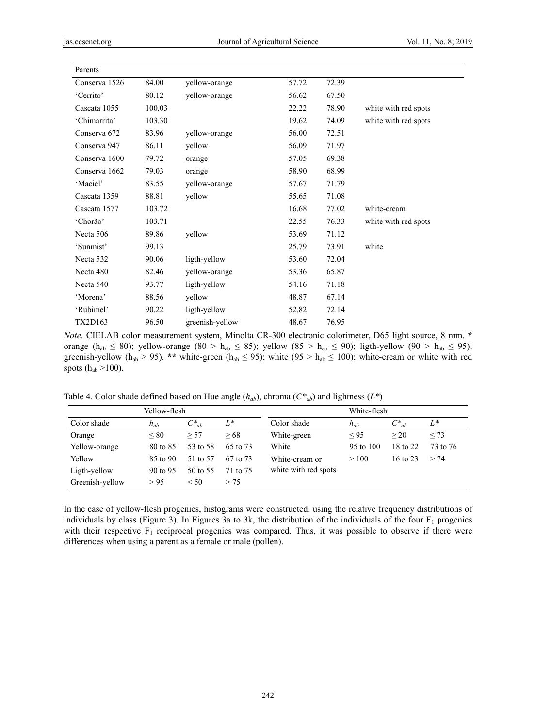| Parents        |        |                 |       |       |                      |
|----------------|--------|-----------------|-------|-------|----------------------|
| Conserva 1526  | 84.00  | yellow-orange   | 57.72 | 72.39 |                      |
| 'Cerrito'      | 80.12  | yellow-orange   | 56.62 | 67.50 |                      |
| Cascata 1055   | 100.03 |                 | 22.22 | 78.90 | white with red spots |
| 'Chimarrita'   | 103.30 |                 | 19.62 | 74.09 | white with red spots |
| Conserva 672   | 83.96  | yellow-orange   | 56.00 | 72.51 |                      |
| Conserva 947   | 86.11  | yellow          | 56.09 | 71.97 |                      |
| Conserva 1600  | 79.72  | orange          | 57.05 | 69.38 |                      |
| Conserva 1662  | 79.03  | orange          | 58.90 | 68.99 |                      |
| 'Maciel'       | 83.55  | yellow-orange   | 57.67 | 71.79 |                      |
| Cascata 1359   | 88.81  | yellow          | 55.65 | 71.08 |                      |
| Cascata 1577   | 103.72 |                 | 16.68 | 77.02 | white-cream          |
| 'Chorão'       | 103.71 |                 | 22.55 | 76.33 | white with red spots |
| Necta 506      | 89.86  | yellow          | 53.69 | 71.12 |                      |
| 'Sunmist'      | 99.13  |                 | 25.79 | 73.91 | white                |
| Necta 532      | 90.06  | ligth-yellow    | 53.60 | 72.04 |                      |
| Necta 480      | 82.46  | yellow-orange   | 53.36 | 65.87 |                      |
| Necta 540      | 93.77  | ligth-yellow    | 54.16 | 71.18 |                      |
| 'Morena'       | 88.56  | yellow          | 48.87 | 67.14 |                      |
| 'Rubimel'      | 90.22  | ligth-yellow    | 52.82 | 72.14 |                      |
| <b>TX2D163</b> | 96.50  | greenish-yellow | 48.67 | 76.95 |                      |

*Note.* CIELAB color measurement system, Minolta CR-300 electronic colorimeter, D65 light source, 8 mm. **\***  orange ( $h_{ab} \le 80$ ); yellow-orange (80 >  $h_{ab} \le 85$ ); yellow (85 >  $h_{ab} \le 90$ ); ligth-yellow (90 >  $h_{ab} \le 95$ ); greenish-yellow ( $h_{ab} > 95$ ). \*\* white-green ( $h_{ab} \le 95$ ); white ( $95 > h_{ab} \le 100$ ); white-cream or white with red spots  $(h_{ab} > 100)$ .

Table 4. Color shade defined based on Hue angle  $(h_{ab})$ , chroma  $(C^*_{ab})$  and lightness  $(L^*)$ 

| Yellow-flesh    |            |            |          | White-flesh          |           |                     |          |
|-----------------|------------|------------|----------|----------------------|-----------|---------------------|----------|
| Color shade     | $h_{ab}$   | $C^*_{ab}$ | L*       | Color shade          | $h_{ab}$  | $C^*_{ab}$          | $L^*$    |
| Orange          | ${}< 80$   | > 57       | > 68     | White-green          | $\leq 95$ | > 20                | < 73     |
| Yellow-orange   | 80 to 85   | 53 to 58   | 65 to 73 | White                | 95 to 100 | 18 to 22            | 73 to 76 |
| Yellow          | 85 to 90   | 51 to 57   | 67 to 73 | White-cream or       | >100      | $16 \text{ to } 23$ | > 74     |
| Ligth-yellow    | 90 to $95$ | 50 to 55   | 71 to 75 | white with red spots |           |                     |          |
| Greenish-yellow | > 95       | < 50       | > 75     |                      |           |                     |          |

In the case of yellow-flesh progenies, histograms were constructed, using the relative frequency distributions of individuals by class (Figure 3). In Figures 3a to 3k, the distribution of the individuals of the four  $F_1$  progenies with their respective  $F_1$  reciprocal progenies was compared. Thus, it was possible to observe if there were differences when using a parent as a female or male (pollen).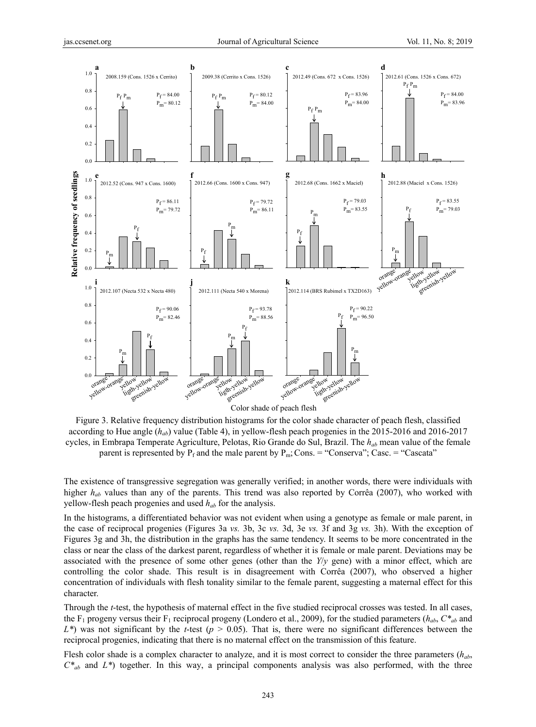

Figure 3. Relative frequency distribution histograms for the color shade character of peach flesh, classified according to Hue angle (*hab*) value (Table 4), in yellow-flesh peach progenies in the 2015-2016 and 2016-2017 cycles, in Embrapa Temperate Agriculture, Pelotas, Rio Grande do Sul, Brazil. The *hab* mean value of the female parent is represented by  $P_f$  and the male parent by  $P_m$ ; Cons. = "Conserva"; Casc. = "Cascata"

The existence of transgressive segregation was generally verified; in another words, there were individuals with higher  $h_{ab}$  values than any of the parents. This trend was also reported by Corrêa (2007), who worked with yellow-flesh peach progenies and used *hab* for the analysis.

In the histograms, a differentiated behavior was not evident when using a genotype as female or male parent, in the case of reciprocal progenies (Figures 3a *vs.* 3b, 3c *vs.* 3d, 3e *vs.* 3f and 3g *vs.* 3h). With the exception of Figures 3g and 3h, the distribution in the graphs has the same tendency. It seems to be more concentrated in the class or near the class of the darkest parent, regardless of whether it is female or male parent. Deviations may be associated with the presence of some other genes (other than the *Y*/*y* gene) with a minor effect, which are controlling the color shade. This result is in disagreement with Corrêa (2007), who observed a higher concentration of individuals with flesh tonality similar to the female parent, suggesting a maternal effect for this character.

Through the *t*-test, the hypothesis of maternal effect in the five studied reciprocal crosses was tested. In all cases, the F<sub>1</sub> progeny versus their F<sub>1</sub> reciprocal progeny (Londero et al., 2009), for the studied parameters ( $h_{ab}$ ,  $C^*_{ab}$  and *L\**) was not significant by the *t*-test (*p* > 0.05). That is, there were no significant differences between the reciprocal progenies, indicating that there is no maternal effect on the transmission of this feature.

Flesh color shade is a complex character to analyze, and it is most correct to consider the three parameters (*hab*,  $C^*_{ab}$  and  $L^*$ ) together. In this way, a principal components analysis was also performed, with the three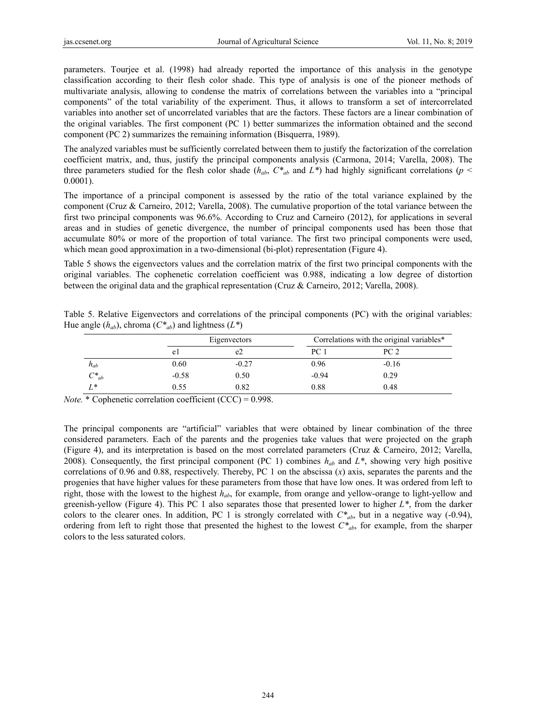parameters. Tourjee et al. (1998) had already reported the importance of this analysis in the genotype classification according to their flesh color shade. This type of analysis is one of the pioneer methods of multivariate analysis, allowing to condense the matrix of correlations between the variables into a "principal components" of the total variability of the experiment. Thus, it allows to transform a set of intercorrelated variables into another set of uncorrelated variables that are the factors. These factors are a linear combination of the original variables. The first component (PC 1) better summarizes the information obtained and the second component (PC 2) summarizes the remaining information (Bisquerra, 1989).

The analyzed variables must be sufficiently correlated between them to justify the factorization of the correlation coefficient matrix, and, thus, justify the principal components analysis (Carmona, 2014; Varella, 2008). The three parameters studied for the flesh color shade ( $h_{ab}$ ,  $C^*_{ab}$  and  $L^*$ ) had highly significant correlations ( $p <$ 0.0001).

The importance of a principal component is assessed by the ratio of the total variance explained by the component (Cruz & Carneiro, 2012; Varella, 2008). The cumulative proportion of the total variance between the first two principal components was 96.6%. According to Cruz and Carneiro (2012), for applications in several areas and in studies of genetic divergence, the number of principal components used has been those that accumulate 80% or more of the proportion of total variance. The first two principal components were used, which mean good approximation in a two-dimensional (bi-plot) representation (Figure 4).

Table 5 shows the eigenvectors values and the correlation matrix of the first two principal components with the original variables. The cophenetic correlation coefficient was 0.988, indicating a low degree of distortion between the original data and the graphical representation (Cruz & Carneiro, 2012; Varella, 2008).

Table 5. Relative Eigenvectors and correlations of the principal components (PC) with the original variables: Hue angle  $(h_{ab})$ , chroma  $(C^*_{ab})$  and lightness  $(L^*)$ 

|            |         | Eigenvectors   |         | Correlations with the original variables* |  |  |  |
|------------|---------|----------------|---------|-------------------------------------------|--|--|--|
|            | e l     | e <sub>2</sub> | PC 1    | PC <sub>2</sub>                           |  |  |  |
| $h_{ab}$   | 0.60    | $-0.27$        | 0.96    | $-0.16$                                   |  |  |  |
| $C^*_{ab}$ | $-0.58$ | 0.50           | $-0.94$ | 0.29                                      |  |  |  |
| $L^*$      | 0.55    | 0.82           | 0.88    | 0.48                                      |  |  |  |

*Note.* \* Cophenetic correlation coefficient (CCC) = 0.998.

The principal components are "artificial" variables that were obtained by linear combination of the three considered parameters. Each of the parents and the progenies take values that were projected on the graph (Figure 4), and its interpretation is based on the most correlated parameters (Cruz & Carneiro, 2012; Varella, 2008). Consequently, the first principal component (PC 1) combines  $h_{ab}$  and  $L^*$ , showing very high positive correlations of 0.96 and 0.88, respectively. Thereby, PC 1 on the abscissa (*x*) axis, separates the parents and the progenies that have higher values for these parameters from those that have low ones. It was ordered from left to right, those with the lowest to the highest *hab*, for example, from orange and yellow-orange to light-yellow and greenish-yellow (Figure 4). This PC 1 also separates those that presented lower to higher *L\**, from the darker colors to the clearer ones. In addition, PC 1 is strongly correlated with  $C^*_{ab}$ , but in a negative way (-0.94), ordering from left to right those that presented the highest to the lowest  $C^*_{ab}$ , for example, from the sharper colors to the less saturated colors.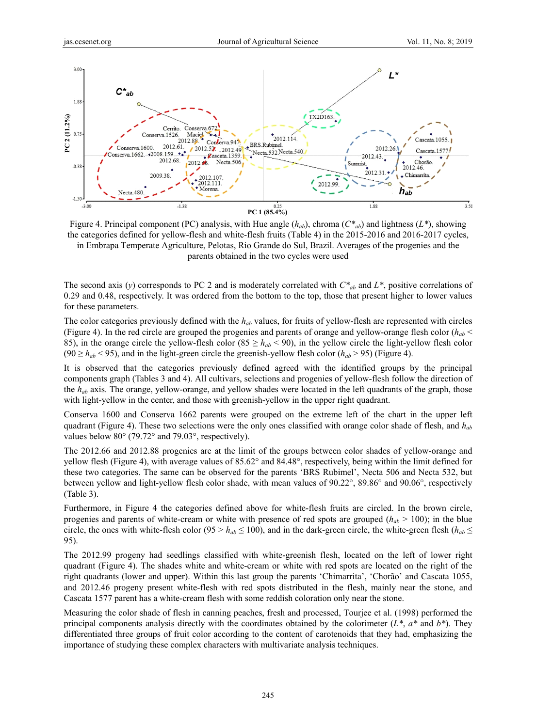

Figure 4. Principal component (PC) analysis, with Hue angle (*hab*), chroma (*C\*ab*) and lightness (*L\**), showing the categories defined for yellow-flesh and white-flesh fruits (Table 4) in the 2015-2016 and 2016-2017 cycles, in Embrapa Temperate Agriculture, Pelotas, Rio Grande do Sul, Brazil. Averages of the progenies and the parents obtained in the two cycles were used

The second axis (*y*) corresponds to PC 2 and is moderately correlated with *C\*ab* and *L\**, positive correlations of 0.29 and 0.48, respectively. It was ordered from the bottom to the top, those that present higher to lower values for these parameters.

The color categories previously defined with the *hab* values, for fruits of yellow-flesh are represented with circles (Figure 4). In the red circle are grouped the progenies and parents of orange and yellow-orange flesh color  $(h_{ab} <$ 85), in the orange circle the yellow-flesh color ( $85 \ge h_{ab} < 90$ ), in the yellow circle the light-yellow flesh color  $(90 \ge h_{ab} < 95)$ , and in the light-green circle the greenish-yellow flesh color  $(h_{ab} > 95)$  (Figure 4).

It is observed that the categories previously defined agreed with the identified groups by the principal components graph (Tables 3 and 4). All cultivars, selections and progenies of yellow-flesh follow the direction of the *hab* axis. The orange, yellow-orange, and yellow shades were located in the left quadrants of the graph, those with light-yellow in the center, and those with greenish-yellow in the upper right quadrant.

Conserva 1600 and Conserva 1662 parents were grouped on the extreme left of the chart in the upper left quadrant (Figure 4). These two selections were the only ones classified with orange color shade of flesh, and *hab* values below 80° (79.72° and 79.03°, respectively).

The 2012.66 and 2012.88 progenies are at the limit of the groups between color shades of yellow-orange and yellow flesh (Figure 4), with average values of 85.62° and 84.48°, respectively, being within the limit defined for these two categories. The same can be observed for the parents 'BRS Rubimel', Necta 506 and Necta 532, but between yellow and light-yellow flesh color shade, with mean values of 90.22°, 89.86° and 90.06°, respectively (Table 3).

Furthermore, in Figure 4 the categories defined above for white-flesh fruits are circled. In the brown circle, progenies and parents of white-cream or white with presence of red spots are grouped  $(h_{ab} > 100)$ ; in the blue circle, the ones with white-flesh color (95 >  $h_{ab} \le 100$ ), and in the dark-green circle, the white-green flesh ( $h_{ab} \le$ 95).

The 2012.99 progeny had seedlings classified with white-greenish flesh, located on the left of lower right quadrant (Figure 4). The shades white and white-cream or white with red spots are located on the right of the right quadrants (lower and upper). Within this last group the parents 'Chimarrita', 'Chorão' and Cascata 1055, and 2012.46 progeny present white-flesh with red spots distributed in the flesh, mainly near the stone, and Cascata 1577 parent has a white-cream flesh with some reddish coloration only near the stone.

Measuring the color shade of flesh in canning peaches, fresh and processed, Tourjee et al. (1998) performed the principal components analysis directly with the coordinates obtained by the colorimeter (*L\**, *a\** and *b\**). They differentiated three groups of fruit color according to the content of carotenoids that they had, emphasizing the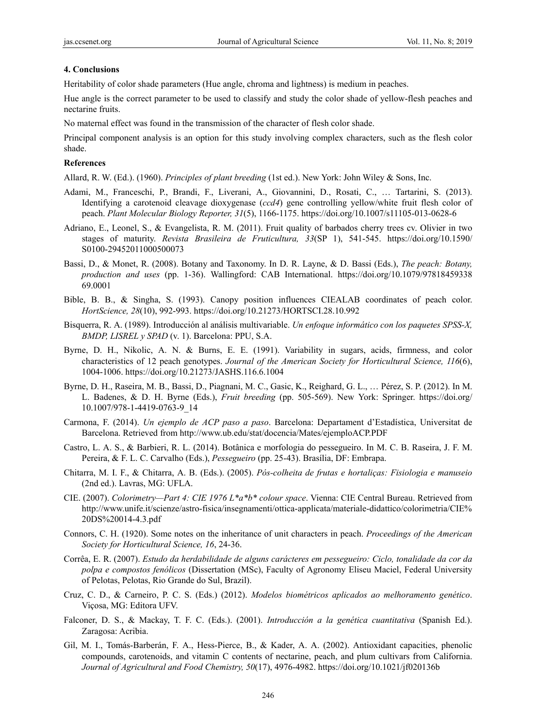#### **4. Conclusions**

Heritability of color shade parameters (Hue angle, chroma and lightness) is medium in peaches.

Hue angle is the correct parameter to be used to classify and study the color shade of yellow-flesh peaches and nectarine fruits.

No maternal effect was found in the transmission of the character of flesh color shade.

Principal component analysis is an option for this study involving complex characters, such as the flesh color shade.

### **References**

Allard, R. W. (Ed.). (1960). *Principles of plant breeding* (1st ed.). New York: John Wiley & Sons, Inc.

- Adami, M., Franceschi, P., Brandi, F., Liverani, A., Giovannini, D., Rosati, C., … Tartarini, S. (2013). Identifying a carotenoid cleavage dioxygenase (*ccd4*) gene controlling yellow/white fruit flesh color of peach. *Plant Molecular Biology Reporter, 31*(5), 1166-1175. https://doi.org/10.1007/s11105-013-0628-6
- Adriano, E., Leonel, S., & Evangelista, R. M. (2011). Fruit quality of barbados cherry trees cv. Olivier in two stages of maturity. *Revista Brasileira de Fruticultura, 33*(SP 1), 541-545. https://doi.org/10.1590/ S0100-29452011000500073
- Bassi, D., & Monet, R. (2008). Botany and Taxonomy. In D. R. Layne, & D. Bassi (Eds.), *The peach: Botany, production and uses* (pp. 1-36). Wallingford: CAB International. https://doi.org/10.1079/97818459338 69.0001
- Bible, B. B., & Singha, S. (1993). Canopy position influences CIEALAB coordinates of peach color. *HortScience, 28*(10), 992-993. https://doi.org/10.21273/HORTSCI.28.10.992
- Bisquerra, R. A. (1989). Introducción al análisis multivariable. *Un enfoque informático con los paquetes SPSS-X, BMDP, LISREL y SPAD* (v. 1). Barcelona: PPU, S.A.
- Byrne, D. H., Nikolic, A. N. & Burns, E. E. (1991). Variability in sugars, acids, firmness, and color characteristics of 12 peach genotypes. *Journal of the American Society for Horticultural Science, 116*(6), 1004-1006. https://doi.org/10.21273/JASHS.116.6.1004
- Byrne, D. H., Raseira, M. B., Bassi, D., Piagnani, M. C., Gasic, K., Reighard, G. L., … Pérez, S. P. (2012). In M. L. Badenes, & D. H. Byrne (Eds.), *Fruit breeding* (pp. 505-569). New York: Springer. https://doi.org/ 10.1007/978-1-4419-0763-9\_14
- Carmona, F. (2014). *Un ejemplo de ACP paso a paso*. Barcelona: Departament d'Estadística, Universitat de Barcelona. Retrieved from http://www.ub.edu/stat/docencia/Mates/ejemploACP.PDF
- Castro, L. A. S., & Barbieri, R. L. (2014). Botânica e morfologia do pessegueiro. In M. C. B. Raseira, J. F. M. Pereira, & F. L. C. Carvalho (Eds.), *Pessegueiro* (pp. 25-43). Brasília, DF: Embrapa.
- Chitarra, M. I. F., & Chitarra, A. B. (Eds.). (2005). *Pós-colheita de frutas e hortaliças: Fisiologia e manuseio* (2nd ed.). Lavras, MG: UFLA.
- CIE. (2007). *Colorimetry—Part 4: CIE 1976 L\*a\*b\* colour space*. Vienna: CIE Central Bureau. Retrieved from http://www.unife.it/scienze/astro-fisica/insegnamenti/ottica-applicata/materiale-didattico/colorimetria/CIE% 20DS%20014-4.3.pdf
- Connors, C. H. (1920). Some notes on the inheritance of unit characters in peach. *Proceedings of the American Society for Horticultural Science, 16*, 24-36.
- Corrêa, E. R. (2007). *Estudo da herdabilidade de alguns carácteres em pessegueiro: Ciclo, tonalidade da cor da polpa e compostos fenólicos* (Dissertation (MSc), Faculty of Agronomy Eliseu Maciel, Federal University of Pelotas, Pelotas, Rio Grande do Sul, Brazil).
- Cruz, C. D., & Carneiro, P. C. S. (Eds.) (2012). *Modelos biométricos aplicados ao melhoramento genético*. Viçosa, MG: Editora UFV.
- Falconer, D. S., & Mackay, T. F. C. (Eds.). (2001). *Introducción a la genética cuantitativa* (Spanish Ed.). Zaragosa: Acribia.
- Gil, M. I., Tomás-Barberán, F. A., Hess-Pierce, B., & Kader, A. A. (2002). Antioxidant capacities, phenolic compounds, carotenoids, and vitamin C contents of nectarine, peach, and plum cultivars from California. *Journal of Agricultural and Food Chemistry, 50*(17), 4976-4982. https://doi.org/10.1021/jf020136b